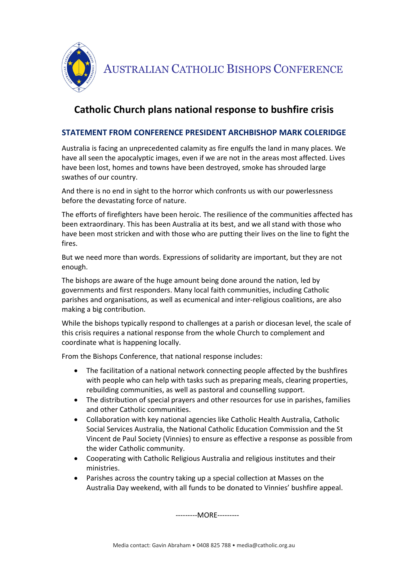

AUSTRALIAN CATHOLIC BISHOPS CONFERENCE

## **Catholic Church plans national response to bushfire crisis**

## **STATEMENT FROM CONFERENCE PRESIDENT ARCHBISHOP MARK COLERIDGE**

Australia is facing an unprecedented calamity as fire engulfs the land in many places. We have all seen the apocalyptic images, even if we are not in the areas most affected. Lives have been lost, homes and towns have been destroyed, smoke has shrouded large swathes of our country.

And there is no end in sight to the horror which confronts us with our powerlessness before the devastating force of nature.

The efforts of firefighters have been heroic. The resilience of the communities affected has been extraordinary. This has been Australia at its best, and we all stand with those who have been most stricken and with those who are putting their lives on the line to fight the fires.

But we need more than words. Expressions of solidarity are important, but they are not enough.

The bishops are aware of the huge amount being done around the nation, led by governments and first responders. Many local faith communities, including Catholic parishes and organisations, as well as ecumenical and inter-religious coalitions, are also making a big contribution.

While the bishops typically respond to challenges at a parish or diocesan level, the scale of this crisis requires a national response from the whole Church to complement and coordinate what is happening locally.

From the Bishops Conference, that national response includes:

- The facilitation of a national network connecting people affected by the bushfires with people who can help with tasks such as preparing meals, clearing properties, rebuilding communities, as well as pastoral and counselling support.
- The distribution of special prayers and other resources for use in parishes, families and other Catholic communities.
- Collaboration with key national agencies like Catholic Health Australia, Catholic Social Services Australia, the National Catholic Education Commission and the St Vincent de Paul Society (Vinnies) to ensure as effective a response as possible from the wider Catholic community.
- Cooperating with Catholic Religious Australia and religious institutes and their ministries.
- Parishes across the country taking up a special collection at Masses on the Australia Day weekend, with all funds to be donated to Vinnies' bushfire appeal.

---------MORE---------